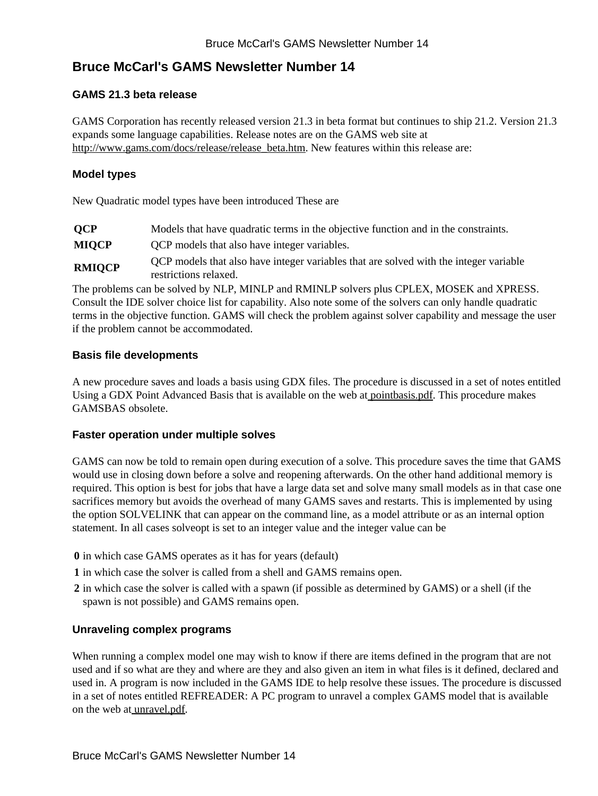# **Bruce McCarl's GAMS Newsletter Number 14**

## **GAMS 21.3 beta release**

GAMS Corporation has recently released version 21.3 in beta format but continues to ship 21.2. Version 21.3 expands some language capabilities. Release notes are on the GAMS web site at [http://www.gams.com/docs/release/release\\_beta.htm.](http://www.gams.com/docs/release/release_beta.htm) New features within this release are:

### **Model types**

New Quadratic model types have been introduced These are

| <b>OCP</b>    | Models that have quadratic terms in the objective function and in the constraints.                             |
|---------------|----------------------------------------------------------------------------------------------------------------|
| <b>MIOCP</b>  | OCP models that also have integer variables.                                                                   |
| <b>RMIOCP</b> | QCP models that also have integer variables that are solved with the integer variable<br>restrictions relaxed. |

The problems can be solved by NLP, MINLP and RMINLP solvers plus CPLEX, MOSEK and XPRESS. Consult the IDE solver choice list for capability. Also note some of the solvers can only handle quadratic terms in the objective function. GAMS will check the problem against solver capability and message the user if the problem cannot be accommodated.

## **Basis file developments**

A new procedure saves and loads a basis using GDX files. The procedure is discussed in a set of notes entitled Using a GDX Point Advanced Basis that is available on the web at [pointbasis.pdf.](http://www.gams.com/dd/docs/bigdocs/gams2002/pointbasis.pdf) This procedure makes GAMSBAS obsolete.

#### **Faster operation under multiple solves**

GAMS can now be told to remain open during execution of a solve. This procedure saves the time that GAMS would use in closing down before a solve and reopening afterwards. On the other hand additional memory is required. This option is best for jobs that have a large data set and solve many small models as in that case one sacrifices memory but avoids the overhead of many GAMS saves and restarts. This is implemented by using the option SOLVELINK that can appear on the command line, as a model attribute or as an internal option statement. In all cases solveopt is set to an integer value and the integer value can be

- **0** in which case GAMS operates as it has for years (default)
- **1** in which case the solver is called from a shell and GAMS remains open.
- **2** in which case the solver is called with a spawn (if possible as determined by GAMS) or a shell (if the spawn is not possible) and GAMS remains open.

## **Unraveling complex programs**

When running a complex model one may wish to know if there are items defined in the program that are not used and if so what are they and where are they and also given an item in what files is it defined, declared and used in. A program is now included in the GAMS IDE to help resolve these issues. The procedure is discussed in a set of notes entitled REFREADER: A PC program to unravel a complex GAMS model that is available on the web at [unravel.pdf](http://www.gams.com/dd/docs/bigdocs/gams2002/unravel.pdf).